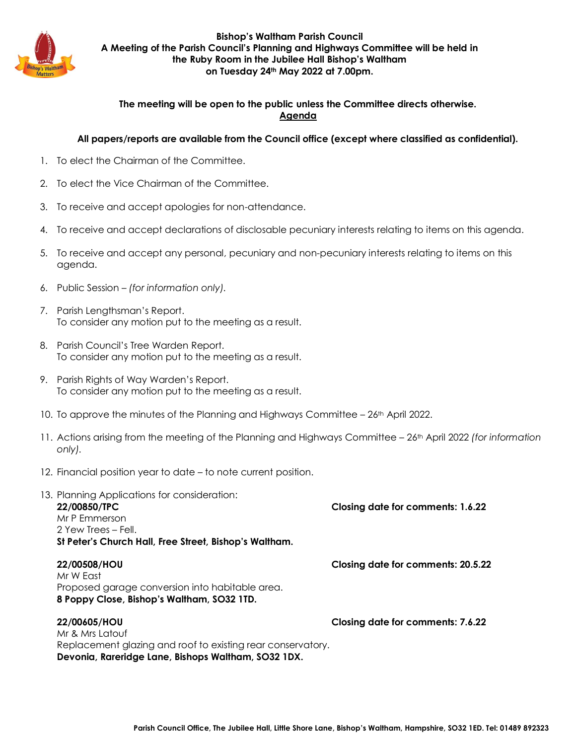

**Bishop's Waltham Parish Council A Meeting of the Parish Council's Planning and Highways Committee will be held in the Ruby Room in the Jubilee Hall Bishop's Waltham on Tuesday 24th May 2022 at 7.00pm.**

### **The meeting will be open to the public unless the Committee directs otherwise. Agenda**

### **All papers/reports are available from the Council office (except where classified as confidential).**

- 1. To elect the Chairman of the Committee.
- 2. To elect the Vice Chairman of the Committee.
- 3. To receive and accept apologies for non-attendance.
- 4. To receive and accept declarations of disclosable pecuniary interests relating to items on this agenda.
- 5. To receive and accept any personal, pecuniary and non-pecuniary interests relating to items on this agenda.
- 6. Public Session *(for information only).*
- 7. Parish Lengthsman's Report. To consider any motion put to the meeting as a result.
- 8. Parish Council's Tree Warden Report. To consider any motion put to the meeting as a result.
- 9. Parish Rights of Way Warden's Report. To consider any motion put to the meeting as a result.
- 10. To approve the minutes of the Planning and Highways Committee 26<sup>th</sup> April 2022.
- 11. Actions arising from the meeting of the Planning and Highways Committee 26th April 2022 *(for information only).*
- 12. Financial position year to date to note current position.

| 13. Planning Applications for consideration:<br>22/00850/TPC<br>Mr P Fmmerson<br>2 Yew Trees – Fell.<br>St Peter's Church Hall, Free Street, Bishop's Waltham. | Closing date for comments: 1.6.22  |
|----------------------------------------------------------------------------------------------------------------------------------------------------------------|------------------------------------|
| 22/00508/HOU<br>Mr W Fast<br>Proposed garage conversion into habitable area.<br>8 Poppy Close, Bishop's Waltham, SO32 1TD.                                     | Closing date for comments: 20.5.22 |
| 22/00605/HOU<br>Mr & Mrs Latouf<br>Replacement glazing and roof to existing rear conservatory.<br>Devonia, Rareridge Lane, Bishops Waltham, SO32 1DX.          | Closing date for comments: 7.6.22  |